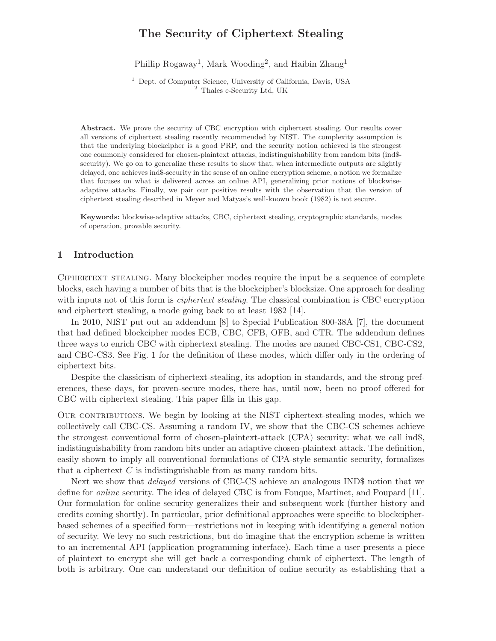# The Security of Ciphertext Stealing

Phillip Rogaway<sup>1</sup>, Mark Wooding<sup>2</sup>, and Haibin Zhang<sup>1</sup>

<sup>1</sup> Dept. of Computer Science, University of California, Davis, USA <sup>2</sup> Thales e-Security Ltd, UK

Abstract. We prove the security of CBC encryption with ciphertext stealing. Our results cover all versions of ciphertext stealing recently recommended by NIST. The complexity assumption is that the underlying blockcipher is a good PRP, and the security notion achieved is the strongest one commonly considered for chosen-plaintext attacks, indistinguishability from random bits (ind\$ security). We go on to generalize these results to show that, when intermediate outputs are slightly delayed, one achieves ind\$-security in the sense of an online encryption scheme, a notion we formalize that focuses on what is delivered across an online API, generalizing prior notions of blockwiseadaptive attacks. Finally, we pair our positive results with the observation that the version of ciphertext stealing described in Meyer and Matyas's well-known book (1982) is not secure.

Keywords: blockwise-adaptive attacks, CBC, ciphertext stealing, cryptographic standards, modes of operation, provable security.

### 1 Introduction

CIPHERTEXT STEALING. Many blockcipher modes require the input be a sequence of complete blocks, each having a number of bits that is the blockcipher's blocksize. One approach for dealing with inputs not of this form is *ciphertext stealing*. The classical combination is CBC encryption and ciphertext stealing, a mode going back to at least 1982 [14].

In 2010, NIST put out an addendum [8] to Special Publication 800-38A [7], the document that had defined blockcipher modes ECB, CBC, CFB, OFB, and CTR. The addendum defines three ways to enrich CBC with ciphertext stealing. The modes are named CBC-CS1, CBC-CS2, and CBC-CS3. See Fig. 1 for the definition of these modes, which differ only in the ordering of ciphertext bits.

Despite the classicism of ciphertext-stealing, its adoption in standards, and the strong preferences, these days, for proven-secure modes, there has, until now, been no proof offered for CBC with ciphertext stealing. This paper fills in this gap.

OUR CONTRIBUTIONS. We begin by looking at the NIST ciphertext-stealing modes, which we collectively call CBC-CS. Assuming a random IV, we show that the CBC-CS schemes achieve the strongest conventional form of chosen-plaintext-attack (CPA) security: what we call ind\$, indistinguishability from random bits under an adaptive chosen-plaintext attack. The definition, easily shown to imply all conventional formulations of CPA-style semantic security, formalizes that a ciphertext  $C$  is indistinguishable from as many random bits.

Next we show that delayed versions of CBC-CS achieve an analogous IND\$ notion that we define for online security. The idea of delayed CBC is from Fouque, Martinet, and Poupard [11]. Our formulation for online security generalizes their and subsequent work (further history and credits coming shortly). In particular, prior definitional approaches were specific to blockcipherbased schemes of a specified form—restrictions not in keeping with identifying a general notion of security. We levy no such restrictions, but do imagine that the encryption scheme is written to an incremental API (application programming interface). Each time a user presents a piece of plaintext to encrypt she will get back a corresponding chunk of ciphertext. The length of both is arbitrary. One can understand our definition of online security as establishing that a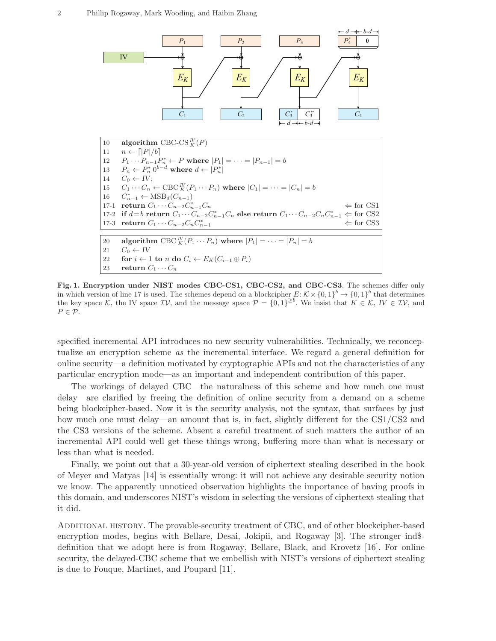

Fig. 1. Encryption under NIST modes CBC-CS1, CBC-CS2, and CBC-CS3. The schemes differ only in which version of line 17 is used. The schemes depend on a blockcipher  $E: \mathcal{K} \times \{0,1\}^b \to \{0,1\}^b$  that determines the key space K, the IV space  $\mathcal{IV}$ , and the message space  $\mathcal{P} = \{0,1\}^{\geq b}$ . We insist that  $K \in \mathcal{K}$ ,  $IV \in \mathcal{IV}$ , and  $P \in \mathcal{P}$ .

specified incremental API introduces no new security vulnerabilities. Technically, we reconceptualize an encryption scheme as the incremental interface. We regard a general definition for online security—a definition motivated by cryptographic APIs and not the characteristics of any particular encryption mode—as an important and independent contribution of this paper.

The workings of delayed CBC—the naturalness of this scheme and how much one must delay—are clarified by freeing the definition of online security from a demand on a scheme being blockcipher-based. Now it is the security analysis, not the syntax, that surfaces by just how much one must delay—an amount that is, in fact, slightly different for the CS1/CS2 and the CS3 versions of the scheme. Absent a careful treatment of such matters the author of an incremental API could well get these things wrong, buffering more than what is necessary or less than what is needed.

Finally, we point out that a 30-year-old version of ciphertext stealing described in the book of Meyer and Matyas [14] is essentially wrong: it will not achieve any desirable security notion we know. The apparently unnoticed observation highlights the importance of having proofs in this domain, and underscores NIST's wisdom in selecting the versions of ciphertext stealing that it did.

ADDITIONAL HISTORY. The provable-security treatment of CBC, and of other blockcipher-based encryption modes, begins with Bellare, Desai, Jokipii, and Rogaway [3]. The stronger ind\$ definition that we adopt here is from Rogaway, Bellare, Black, and Krovetz [16]. For online security, the delayed-CBC scheme that we embellish with NIST's versions of ciphertext stealing is due to Fouque, Martinet, and Poupard [11].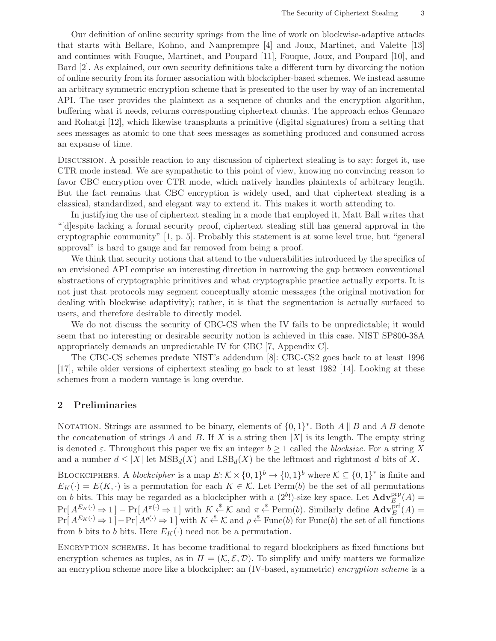Our definition of online security springs from the line of work on blockwise-adaptive attacks that starts with Bellare, Kohno, and Namprempre [4] and Joux, Martinet, and Valette [13] and continues with Fouque, Martinet, and Poupard [11], Fouque, Joux, and Poupard [10], and Bard [2]. As explained, our own security definitions take a different turn by divorcing the notion of online security from its former association with blockcipher-based schemes. We instead assume an arbitrary symmetric encryption scheme that is presented to the user by way of an incremental API. The user provides the plaintext as a sequence of chunks and the encryption algorithm, buffering what it needs, returns corresponding ciphertext chunks. The approach echos Gennaro and Rohatgi [12], which likewise transplants a primitive (digital signatures) from a setting that sees messages as atomic to one that sees messages as something produced and consumed across an expanse of time.

Discussion. A possible reaction to any discussion of ciphertext stealing is to say: forget it, use CTR mode instead. We are sympathetic to this point of view, knowing no convincing reason to favor CBC encryption over CTR mode, which natively handles plaintexts of arbitrary length. But the fact remains that CBC encryption is widely used, and that ciphertext stealing is a classical, standardized, and elegant way to extend it. This makes it worth attending to.

In justifying the use of ciphertext stealing in a mode that employed it, Matt Ball writes that "[d]espite lacking a formal security proof, ciphertext stealing still has general approval in the cryptographic community" [1, p. 5]. Probably this statement is at some level true, but "general approval" is hard to gauge and far removed from being a proof.

We think that security notions that attend to the vulnerabilities introduced by the specifics of an envisioned API comprise an interesting direction in narrowing the gap between conventional abstractions of cryptographic primitives and what cryptographic practice actually exports. It is not just that protocols may segment conceptually atomic messages (the original motivation for dealing with blockwise adaptivity); rather, it is that the segmentation is actually surfaced to users, and therefore desirable to directly model.

We do not discuss the security of CBC-CS when the IV fails to be unpredictable; it would seem that no interesting or desirable security notion is achieved in this case. NIST SP800-38A appropriately demands an unpredictable IV for CBC [7, Appendix C].

The CBC-CS schemes predate NIST's addendum [8]: CBC-CS2 goes back to at least 1996 [17], while older versions of ciphertext stealing go back to at least 1982 [14]. Looking at these schemes from a modern vantage is long overdue.

### 2 Preliminaries

NOTATION. Strings are assumed to be binary, elements of  $\{0,1\}^*$ . Both  $A \parallel B$  and  $A B$  denote the concatenation of strings A and B. If X is a string then  $|X|$  is its length. The empty string is denoted  $\varepsilon$ . Throughout this paper we fix an integer  $b \ge 1$  called the *blocksize*. For a string X and a number  $d \leq |X|$  let  $MSB_d(X)$  and  $LSB_d(X)$  be the leftmost and rightmost d bits of X.

BLOCKCIPHERS. A *blockcipher* is a map  $E: \mathcal{K} \times \{0, 1\}^b \to \{0, 1\}^b$  where  $\mathcal{K} \subseteq \{0, 1\}^*$  is finite and  $E_K(\cdot) = E(K, \cdot)$  is a permutation for each  $K \in \mathcal{K}$ . Let Perm(b) be the set of all permutations on b bits. This may be regarded as a blockcipher with a  $(2^b!)$ -size key space. Let  $\mathbf{Adv}_{E}^{\text{prp}}(A)$  =  $Pr[A_{K}^{E_{K}}(\cdot) \Rightarrow 1] - Pr[A_{K}^{\pi(\cdot)} \Rightarrow 1]$  with  $K \underset{\varepsilon}{\overset{\$}} \sim \mathcal{K}$  and  $\pi \underset{\varepsilon}{\overset{\$}}$  Perm(b). Similarly define  $\mathbf{Adv}_{E}^{\text{prf}}(A)$  =  $\Pr[A^{E_K(\cdot)} \to 1] - \Pr[A^{\rho(\cdot)} \to 1]$  with  $K \overset{\$}{\leftarrow} \mathcal{K}$  and  $\rho \overset{\$}{\leftarrow} \text{Func}(b)$  for  $\text{Func}(b)$  the set of all functions from b bits to b bits. Here  $E_K(\cdot)$  need not be a permutation.

ENCRYPTION SCHEMES. It has become traditional to regard blockciphers as fixed functions but encryption schemes as tuples, as in  $\Pi = (\mathcal{K}, \mathcal{E}, \mathcal{D})$ . To simplify and unify matters we formalize an encryption scheme more like a blockcipher: an (IV-based, symmetric) encryption scheme is a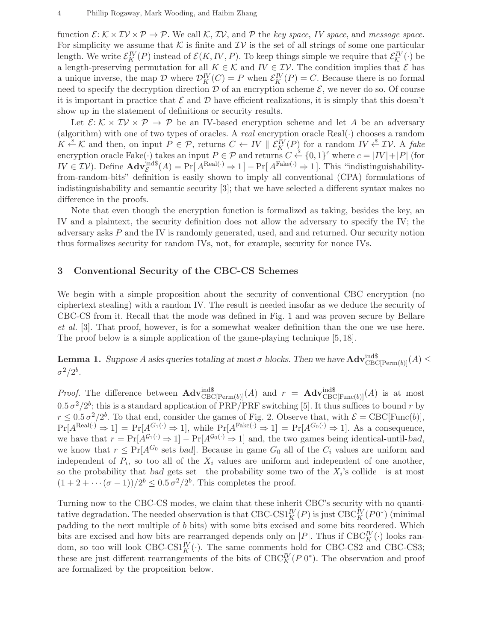function  $\mathcal{E}: \mathcal{K} \times \mathcal{IV} \times \mathcal{P} \rightarrow \mathcal{P}$ . We call  $\mathcal{K}, \mathcal{IV}$ , and  $\mathcal{P}$  the key space, IV space, and message space. For simplicity we assume that  $\mathcal K$  is finite and  $\mathcal{IV}$  is the set of all strings of some one particular length. We write  $\mathcal{E}_K^{\text{IV}}(P)$  instead of  $\mathcal{E}(K,\text{IV},P)$ . To keep things simple we require that  $\mathcal{E}_K^{\text{IV}}$  $\chi^{IV}_{\mathcal{K}}(\cdot)$  be a length-preserving permutation for all  $K \in \mathcal{K}$  and  $IV \in \mathcal{IV}$ . The condition implies that  $\mathcal{E}$  has a unique inverse, the map  $\mathcal{D}$  where  $\mathcal{D}_K^{\mathbb{N}}(C) = P$  when  $\mathcal{E}_K^{\mathbb{N}}(P) = C$ . Because there is no formal need to specify the decryption direction  $\mathcal D$  of an encryption scheme  $\mathcal E$ , we never do so. Of course it is important in practice that  $\mathcal E$  and  $\mathcal D$  have efficient realizations, it is simply that this doesn't show up in the statement of definitions or security results.

Let  $\mathcal{E}: \mathcal{K} \times \mathcal{IV} \times \mathcal{P} \rightarrow \mathcal{P}$  be an IV-based encryption scheme and let A be an adversary (algorithm) with one of two types of oracles. A *real* encryption oracle Real $(\cdot)$  chooses a random  $K \stackrel{\$}{\leftarrow} \mathcal{K}$  and then, on input  $P \in \mathcal{P}$ , returns  $C \leftarrow IV \parallel \mathcal{E}_K^{\overline{I}V}(P)$  for a random  $IV \stackrel{\$}{\leftarrow} \mathcal{IV}$ . A fake encryption oracle Fake( $\cdot$ ) takes an input  $P \in \mathcal{P}$  and returns  $C \stackrel{\$}{\leftarrow} \{0,1\}^c$  where  $c = |IV| + |P|$  (for  $IV \in \mathcal{IV}$ ). Define  $\mathbf{Adv}_{\mathcal{E}}^{\text{ind}\$}(A) = \Pr[A^{\text{Real}(\cdot)} \Rightarrow 1] - \Pr[A^{\text{Fake}(\cdot)} \Rightarrow 1]$ . This "indistinguishabilityfrom-random-bits" definition is easily shown to imply all conventional (CPA) formulations of indistinguishability and semantic security [3]; that we have selected a different syntax makes no difference in the proofs.

Note that even though the encryption function is formalized as taking, besides the key, an IV and a plaintext, the security definition does not allow the adversary to specify the IV; the adversary asks  $P$  and the IV is randomly generated, used, and and returned. Our security notion thus formalizes security for random IVs, not, for example, security for nonce IVs.

### 3 Conventional Security of the CBC-CS Schemes

We begin with a simple proposition about the security of conventional CBC encryption (no ciphertext stealing) with a random IV. The result is needed insofar as we deduce the security of CBC-CS from it. Recall that the mode was defined in Fig. 1 and was proven secure by Bellare et al. [3]. That proof, however, is for a somewhat weaker definition than the one we use here. The proof below is a simple application of the game-playing technique [5, 18].

**Lemma 1.** Suppose A asks queries totaling at most  $\sigma$  blocks. Then we have  $\text{Adv}_{\text{CBC[Perm}(b)]}^{ind\$}(A) \leq$  $\sigma^2/2^b$ .

*Proof.* The difference between  $\text{Adv}_{\text{CBC}[Perm(b)]}^{\text{ind}\$}(A)$  and  $r = \text{Adv}_{\text{CBC}[Func(b)]}^{\text{ind}\$}(A)$  is at most  $(0.5 \sigma^2/2^b)$ ; this is a standard application of PRP/PRF switching [5]. It thus suffices to bound r by  $r \leq 0.5 \sigma^2/2^b$ . To that end, consider the games of Fig. 2. Observe that, with  $\mathcal{E} = \text{CBC}[\text{Func}(b)],$  $Pr[A^{Real(\cdot)} \Rightarrow 1] = Pr[A^{G_1(\cdot)} \Rightarrow 1]$ , while  $Pr[A^{Fake(\cdot)} \Rightarrow 1] = Pr[A^{G_0(\cdot)} \Rightarrow 1]$ . As a consequence, we have that  $r = \Pr[A^{\mathcal{G}_1(\cdot)} \Rightarrow 1] - \Pr[A^{\mathcal{G}_0(\cdot)} \Rightarrow 1]$  and, the two games being identical-until-bad, we know that  $r \leq \Pr[A^{G_0} \text{ sets } bad]$ . Because in game  $G_0$  all of the  $C_i$  values are uniform and independent of  $P_i$ , so too all of the  $X_i$  values are uniform and independent of one another, so the probability that *bad* gets set—the probability some two of the  $X_i$ 's collide—is at most  $(1 + 2 + \cdots (\sigma - 1))/2^b \leq 0.5 \sigma^2/2^b$ . This completes the proof.

Turning now to the CBC-CS modes, we claim that these inherit CBC's security with no quantitative degradation. The needed observation is that CBC-CS1<sup>IV</sup> $(P)$  is just CBC<sup>IV</sup> $(P0^*)$  (minimal padding to the next multiple of b bits) with some bits excised and some bits reordered. Which bits are excised and how bits are rearranged depends only on |P|. Thus if  $\text{CBC}_{K}^{IV}(\cdot)$  looks random, so too will look CBC-CS1 $_K^{\{V\}}(\cdot)$ . The same comments hold for CBC-CS2 and CBC-CS3; these are just different rearrangements of the bits of  $CBC_K^N(P 0^*)$ . The observation and proof are formalized by the proposition below.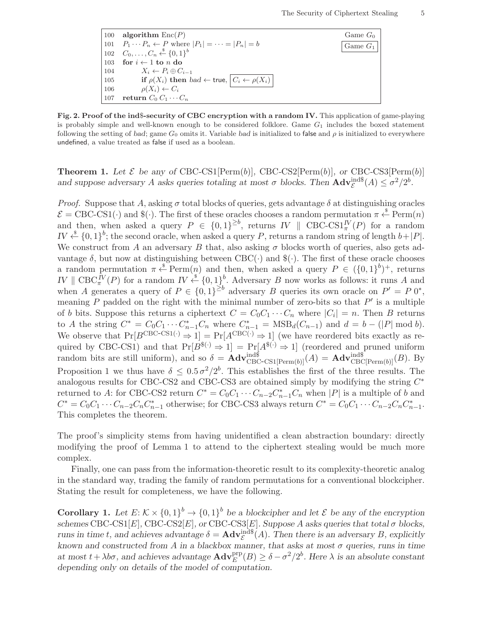

Fig. 2. Proof of the ind \$-security of CBC encryption with a random IV. This application of game-playing is probably simple and well-known enough to be considered folklore. Game  $G_1$  includes the boxed statement following the setting of *bad*; game  $G_0$  omits it. Variable *bad* is initialized to false and  $\rho$  is initialized to everywhere undefined, a value treated as false if used as a boolean.

**Theorem 1.** Let  $\mathcal{E}$  be any of CBC-CS1[Perm(b)], CBC-CS2[Perm(b)], or CBC-CS3[Perm(b)] and suppose adversary A asks queries totaling at most  $\sigma$  blocks. Then  $\mathbf{Adv}_{\mathcal{E}}^{\text{ind}\$}(A) \leq \sigma^2/2^b$ .

*Proof.* Suppose that A, asking  $\sigma$  total blocks of queries, gets advantage  $\delta$  at distinguishing oracles  $\mathcal{E} = \text{CBC-CS1}(\cdot)$  and  $\$(\cdot)$ . The first of these oracles chooses a random permutation  $\pi \stackrel{\$}{\leftarrow} \text{Perm}(n)$ and then, when asked a query  $P \in \{0,1\}^{\geq b}$ , returns  $IV \parallel \text{CBC-CS1}^{\text{IV}}_{\pi}(P)$  for a random  $IV \xleftarrow{\$} \{0,1\}^b$ ; the second oracle, when asked a query P, returns a random string of length  $b+|P|$ . We construct from A an adversary B that, also asking  $\sigma$  blocks worth of queries, also gets advantage  $\delta$ , but now at distinguishing between CBC( $\cdot$ ) and  $\mathcal{E}(\cdot)$ . The first of these oracle chooses a random permutation  $\pi \stackrel{\$}{\leftarrow} \text{Perm}(n)$  and then, when asked a query  $P \in (\{0,1\}^b)^+$ , returns  $IV \parallel \text{CBC}_{\pi}^{\hat{N}}(P)$  for a random  $IV \stackrel{\simeq}{\leftarrow} \{0,1\}^b$ . Adversary B now works as follows: it runs A and when A generates a query of  $P \in \{0,1\}^{\geq b}$  adversary B queries its own oracle on  $P' = P 0^*$ , meaning  $P$  padded on the right with the minimal number of zero-bits so that  $P'$  is a multiple of b bits. Suppose this returns a ciphertext  $C = C_0 C_1 \cdots C_n$  where  $|C_i| = n$ . Then B returns to A the string  $C^* = C_0 C_1 \cdots C_{n-1}^* C_n$  where  $C_{n-1}^* = \text{MSB}_d(C_{n-1})$  and  $d = b - (|P| \mod b)$ . We observe that  $Pr[B^{CBC-CS1(\cdot)} \Rightarrow 1] = Pr[A^{CBC(\cdot)} \Rightarrow 1]$  (we have reordered bits exactly as required by CBC-CS1) and that  $Pr[B^{$(\cdot$)} \Rightarrow 1] = Pr[A^{$(\cdot$)} \Rightarrow 1]$  (reordered and pruned uniform random bits are still uniform), and so  $\delta = \text{Adv}_{\text{CBC-CSI}[\text{Perm}(b)]}^{\text{ind}\$}(A) = \text{Adv}_{\text{CBC}[\text{Perm}(b)]}^{\text{ind}\$}(B)$ . By Proposition 1 we thus have  $\delta \leq 0.5 \sigma^2/2^b$ . This establishes the first of the three results. The analogous results for CBC-CS2 and CBC-CS3 are obtained simply by modifying the string  $C^*$ returned to A: for CBC-CS2 return  $C^* = C_0 C_1 \cdots C_{n-2} C_{n-1}^* C_n$  when  $|P|$  is a multiple of b and  $C^* = C_0 C_1 \cdots C_{n-2} C_n C_{n-1}^*$  otherwise; for CBC-CS3 always return  $C^* = C_0 C_1 \cdots C_{n-2} C_n C_{n-1}^*$ . This completes the theorem.

The proof's simplicity stems from having unidentified a clean abstraction boundary: directly modifying the proof of Lemma 1 to attend to the ciphertext stealing would be much more complex.

Finally, one can pass from the information-theoretic result to its complexity-theoretic analog in the standard way, trading the family of random permutations for a conventional blockcipher. Stating the result for completeness, we have the following.

**Corollary 1.** Let  $E: K \times \{0,1\}^b \to \{0,1\}^b$  be a blockcipher and let  $\mathcal{E}$  be any of the encryption schemes CBC-CS1[E], CBC-CS2[E], or CBC-CS3[E]. Suppose A asks queries that total  $\sigma$  blocks, runs in time t, and achieves advantage  $\delta = \mathbf{Adv}_{\mathcal{E}}^{\text{ind}\$ <sup>\$</sup>(A). Then there is an adversary B, explicitly known and constructed from A in a blackbox manner, that asks at most  $\sigma$  queries, runs in time at most  $t + \lambda b\sigma$ , and achieves advantage  $\mathbf{Adv}_{E}^{\text{prp}}(B) \ge \delta - \sigma^2/2^b$ . Here  $\lambda$  is an absolute constant depending only on details of the model of computation.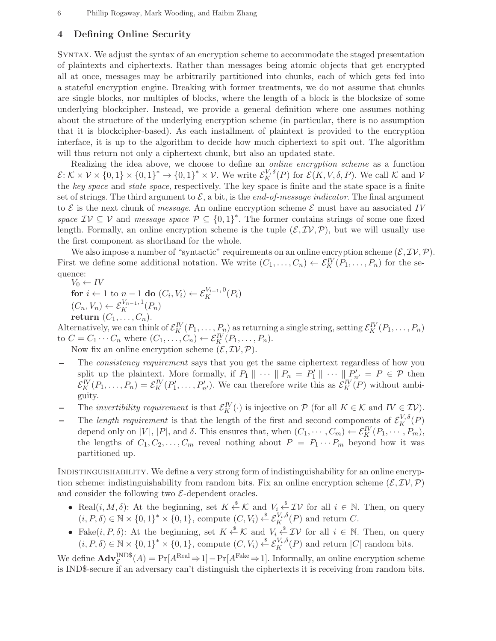## 4 Defining Online Security

Syntax. We adjust the syntax of an encryption scheme to accommodate the staged presentation of plaintexts and ciphertexts. Rather than messages being atomic objects that get encrypted all at once, messages may be arbitrarily partitioned into chunks, each of which gets fed into a stateful encryption engine. Breaking with former treatments, we do not assume that chunks are single blocks, nor multiples of blocks, where the length of a block is the blocksize of some underlying blockcipher. Instead, we provide a general definition where one assumes nothing about the structure of the underlying encryption scheme (in particular, there is no assumption that it is blockcipher-based). As each installment of plaintext is provided to the encryption interface, it is up to the algorithm to decide how much ciphertext to spit out. The algorithm will thus return not only a ciphertext chunk, but also an updated state.

Realizing the idea above, we choose to define an online encryption scheme as a function  $\mathcal{E}: \mathcal{K} \times \mathcal{V} \times \{0,1\}^* \times \{0,1\}^* \times \mathcal{V}$ . We write  $\mathcal{E}_K^{V,\delta}(P)$  for  $\mathcal{E}(K, V, \delta, P)$ . We call  $\mathcal{K}$  and  $\mathcal{V}$ the key space and state space, respectively. The key space is finite and the state space is a finite set of strings. The third argument to  $\mathcal{E}$ , a bit, is the *end-of-message indicator*. The final argument to  $\mathcal E$  is the next chunk of *message*. An online encryption scheme  $\mathcal E$  must have an associated IV space  $\mathcal{IV} \subseteq \mathcal{V}$  and message space  $\mathcal{P} \subseteq \{0,1\}^*$ . The former contains strings of some one fixed length. Formally, an online encryption scheme is the tuple  $(\mathcal{E}, \mathcal{IV}, \mathcal{P})$ , but we will usually use the first component as shorthand for the whole.

We also impose a number of "syntactic" requirements on an online encryption scheme  $(\mathcal{E}, \mathcal{IV}, \mathcal{P})$ . First we define some additional notation. We write  $(C_1, \ldots, C_n) \leftarrow \mathcal{E}_K^{\mathbb{N}}(P_1, \ldots, P_n)$  for the sequence:

 $V_0 \leftarrow IV$ for  $i \leftarrow 1$  to  $n-1$  do  $(C_i, V_i) \leftarrow \mathcal{E}_K^{V_{i-1}, 0}(P_i)$  $(C_n, V_n) \leftarrow \mathcal{E}_K^{V_{n-1}, 1}(P_n)$ return  $(C_1, \ldots, C_n)$ .

Alternatively, we can think of  $\mathcal{E}_K^{\text{IV}}(P_1,\ldots,P_n)$  as returning a single string, setting  $\mathcal{E}_K^{\text{IV}}(P_1,\ldots,P_n)$ to  $C = C_1 \cdots C_n$  where  $(C_1, \ldots, C_n) \leftarrow \mathcal{E}_K^{\mathbb{N}}(P_1, \ldots, P_n)$ .

Now fix an online encryption scheme  $(\mathcal{E}, \mathcal{IV}, \mathcal{P}).$ 

- The *consistency requirement* says that you get the same ciphertext regardless of how you split up the plaintext. More formally, if  $P_1 \parallel \cdots \parallel P_n = P'_1 \parallel \cdots \parallel P'_{n'} = P \in \mathcal{P}$  then  $\mathcal{E}_K^{\text{IV}}(P_1,\ldots,P_n) = \mathcal{E}_K^{\text{IV}}(P_1',\ldots,P_{n'}').$  We can therefore write this as  $\mathcal{E}_K^{\text{IV}}(P)$  without ambiguity.
- The *invertibility requirement* is that  $\mathcal{E}_K^{\{V\}}(\cdot)$  is injective on  $\mathcal{P}$  (for all  $K \in \mathcal{K}$  and  $IV \in \mathcal{IV}$ ).  $\overline{\phantom{0}}$
- The length requirement is that the length of the first and second components of  $\mathcal{E}_K^{V,\delta}(P)$ depend only on  $|V|$ ,  $|P|$ , and  $\delta$ . This ensures that, when  $(C_1, \dots, C_m) \leftarrow \mathcal{E}_K^{\text{IV}}(P_1, \dots, P_m)$ , the lengths of  $C_1, C_2, \ldots, C_m$  reveal nothing about  $P = P_1 \cdots P_m$  beyond how it was partitioned up.

Indistinguishability. We define a very strong form of indistinguishability for an online encryption scheme: indistinguishability from random bits. Fix an online encryption scheme  $(\mathcal{E}, \mathcal{IV}, \mathcal{P})$ and consider the following two  $\mathcal{E}\text{-dependent oracles.}$ 

- Real $(i, M, \delta)$ : At the beginning, set  $K \stackrel{\$}{\leftarrow} \mathcal{K}$  and  $V_i \stackrel{\$}{\leftarrow} \mathcal{IV}$  for all  $i \in \mathbb{N}$ . Then, on query  $(i, P, \delta) \in \mathbb{N} \times \{0, 1\}^* \times \{0, 1\}$ , compute  $(C, V_i) \xleftarrow{\$} \mathcal{E}_K^{V_i, \delta}(P)$  and return C.
- Fake $(i, P, \delta)$ : At the beginning, set  $K \stackrel{\$}{\leftarrow} \mathcal{K}$  and  $V_i \stackrel{\$}{\leftarrow} \mathcal{IV}$  for all  $i \in \mathbb{N}$ . Then, on query  $(i, P, \delta) \in \mathbb{N} \times \{0, 1\}^* \times \{0, 1\}$ , compute  $(C, V_i) \xleftarrow{\$} \mathcal{E}_K^{V_i, \delta}(P)$  and return  $|C|$  random bits.

We define  $\mathbf{Adv}_{\mathcal{E}}^{\text{IND\$}}(A) = \Pr[A^{\text{Real}} \Rightarrow 1] - \Pr[A^{\text{Fake}} \Rightarrow 1]$ . Informally, an online encryption scheme is IND\$-secure if an adversary can't distinguish the ciphertexts it is receiving from random bits.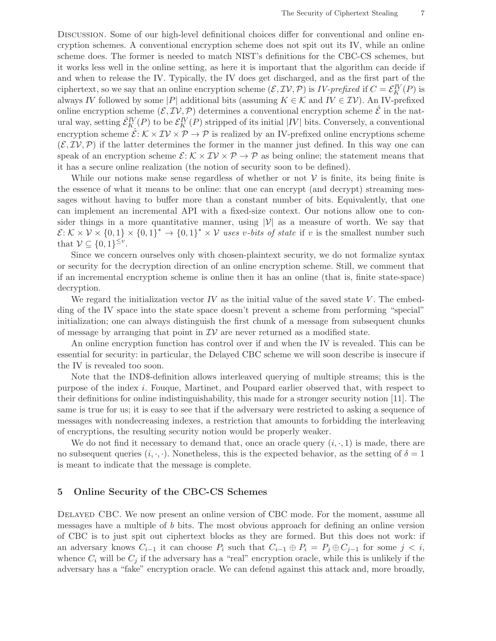Discussion. Some of our high-level definitional choices differ for conventional and online encryption schemes. A conventional encryption scheme does not spit out its IV, while an online scheme does. The former is needed to match NIST's definitions for the CBC-CS schemes, but it works less well in the online setting, as here it is important that the algorithm can decide if and when to release the IV. Typically, the IV does get discharged, and as the first part of the ciphertext, so we say that an online encryption scheme  $(\mathcal{E}, \mathcal{IV}, \mathcal{P})$  is *IV-prefixed* if  $C = \mathcal{E}_K^{\mathbb{IV}}(P)$  is always IV followed by some |P| additional bits (assuming  $K \in \mathcal{K}$  and  $IV \in \mathcal{IV}$ ). An IV-prefixed online encryption scheme  $(\mathcal{E}, \mathcal{IV}, \mathcal{P})$  determines a conventional encryption scheme  $\mathcal{E}$  in the natural way, setting  $\mathcal{E}_{K}^{IV}(P)$  to be  $\mathcal{E}_{K}^{IV}(P)$  stripped of its initial  $|IV|$  bits. Conversely, a conventional encryption scheme  $\hat{\mathcal{E}}: \mathcal{K} \times \mathcal{IV} \times \mathcal{P} \to \mathcal{P}$  is realized by an IV-prefixed online encryptions scheme  $(\mathcal{E}, \mathcal{IV}, \mathcal{P})$  if the latter determines the former in the manner just defined. In this way one can speak of an encryption scheme  $\mathcal{E}: \mathcal{K} \times \mathcal{IV} \times \mathcal{P} \rightarrow \mathcal{P}$  as being online; the statement means that it has a secure online realization (the notion of security soon to be defined).

While our notions make sense regardless of whether or not  $\mathcal V$  is finite, its being finite is the essence of what it means to be online: that one can encrypt (and decrypt) streaming messages without having to buffer more than a constant number of bits. Equivalently, that one can implement an incremental API with a fixed-size context. Our notions allow one to consider things in a more quantitative manner, using  $|V|$  as a measure of worth. We say that  $\mathcal{E}: \mathcal{K} \times \mathcal{V} \times \{0,1\} \times \{0,1\}^* \to \{0,1\}^* \times \mathcal{V}$  uses v-bits of state if v is the smallest number such that  $\mathcal{V} \subseteq \{0,1\}^{\leq v}$ .

Since we concern ourselves only with chosen-plaintext security, we do not formalize syntax or security for the decryption direction of an online encryption scheme. Still, we comment that if an incremental encryption scheme is online then it has an online (that is, finite state-space) decryption.

We regard the initialization vector  $IV$  as the initial value of the saved state V. The embedding of the IV space into the state space doesn't prevent a scheme from performing "special" initialization; one can always distinguish the first chunk of a message from subsequent chunks of message by arranging that point in  $\mathcal{IV}$  are never returned as a modified state.

An online encryption function has control over if and when the IV is revealed. This can be essential for security: in particular, the Delayed CBC scheme we will soon describe is insecure if the IV is revealed too soon.

Note that the IND\$-definition allows interleaved querying of multiple streams; this is the purpose of the index i. Fouque, Martinet, and Poupard earlier observed that, with respect to their definitions for online indistinguishability, this made for a stronger security notion [11]. The same is true for us; it is easy to see that if the adversary were restricted to asking a sequence of messages with nondecreasing indexes, a restriction that amounts to forbidding the interleaving of encryptions, the resulting security notion would be properly weaker.

We do not find it necessary to demand that, once an oracle query  $(i, \cdot, 1)$  is made, there are no subsequent queries  $(i, \cdot, \cdot)$ . Nonetheless, this is the expected behavior, as the setting of  $\delta = 1$ is meant to indicate that the message is complete.

### 5 Online Security of the CBC-CS Schemes

DELAYED CBC. We now present an online version of CBC mode. For the moment, assume all messages have a multiple of b bits. The most obvious approach for defining an online version of CBC is to just spit out ciphertext blocks as they are formed. But this does not work: if an adversary knows  $C_{i-1}$  it can choose  $P_i$  such that  $C_{i-1} \oplus P_i = P_j \oplus C_{j-1}$  for some  $j < i$ , whence  $C_i$  will be  $C_j$  if the adversary has a "real" encryption oracle, while this is unlikely if the adversary has a "fake" encryption oracle. We can defend against this attack and, more broadly,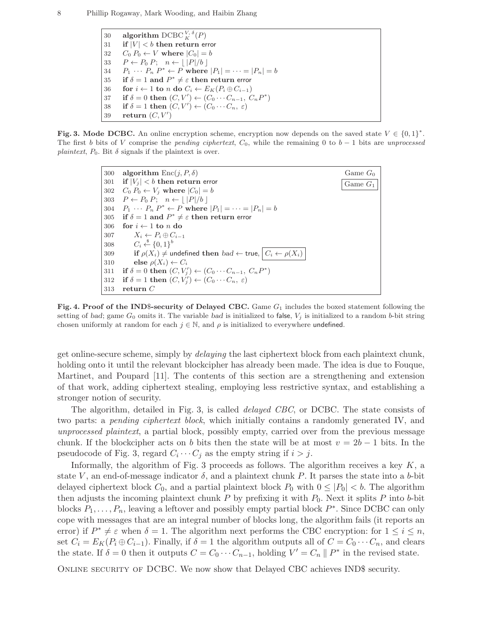30 algorithm  $DCBC_K^{V, \delta}(P)$ 31 if  $|V| < b$  then return error 32  $C_0 P_0 \leftarrow V$  where  $|C_0| = b$ 33  $P \leftarrow P_0 P; \quad n \leftarrow \lfloor |P|/b \rfloor$ 34  $P_1 \cdots P_n P^* \leftarrow P$  where  $|P_1| = \cdots = |P_n| = b$ 35 if  $\delta = 1$  and  $P^* \neq \varepsilon$  then return error 36 for  $i \leftarrow 1$  to n do  $C_i \leftarrow E_K(P_i \oplus C_{i-1})$ 37 if  $\delta = 0$  then  $(C, V') \leftarrow (C_0 \cdots C_{n-1}, C_n P^*)$ 38 if  $\delta = 1$  then  $(C, V') \leftarrow (C_0 \cdots C_n, \varepsilon)$ 39 return  $(C, V')$ 

Fig. 3. Mode DCBC. An online encryption scheme, encryption now depends on the saved state  $V \in \{0,1\}^*$ . The first b bits of V comprise the pending ciphertext,  $C_0$ , while the remaining 0 to  $b-1$  bits are unprocessed plaintext,  $P_0$ . Bit  $\delta$  signals if the plaintext is over.

300 algorithm  $Enc(j, P, \delta)$  Game  $G_0$ 301 if  $|V_j| < b$  then return error<br>302  $C_0 P_0 \leftarrow V_i$  where  $|C_0| = b$   $\qquad \qquad$   $\qquad \qquad$   $\qquad \qquad$   $\qquad \qquad$   $\qquad \qquad$   $\qquad \qquad$   $\qquad \qquad$   $\qquad \qquad$   $\qquad \qquad$   $\qquad \qquad$   $\qquad \qquad$   $\qquad \qquad$   $\qquad \qquad$   $\qquad \qquad$   $\qquad \qquad$   $\qquad \qquad$   $\qquad \qquad$   $C_0 P_0 \leftarrow V_j$  where  $|C_0| = b$ 303  $P \leftarrow P_0 P; \quad n \leftarrow \lfloor |P|/b \rfloor$ 304  $P_1 \cdots P_n P^* \leftarrow P$  where  $|P_1| = \cdots = |P_n| = b$ 305 if  $\delta = 1$  and  $P^* \neq \varepsilon$  then return error 306 for  $i \leftarrow 1$  to n do 307  $X_i \leftarrow P_i \oplus C_{i-1}$ 308  $\xleftarrow{\$} \{0,1\}^b$ 309 if  $\rho(X_i) \neq$  undefined then *bad*  $\leftarrow$  true,  $C_i \leftarrow \rho(X_i)$ 310 else  $\rho(X_i) \leftarrow C_i$ 311 if  $\delta = 0$  then  $(C, V'_j) \leftarrow (C_0 \cdots C_{n-1}, C_n P^*)$ 312 if  $\delta = 1$  then  $(C, V'_j) \leftarrow (C_0 \cdots C_n, \varepsilon)$ 313 return C

Fig. 4. Proof of the IND\$-security of Delayed CBC. Game  $G_1$  includes the boxed statement following the setting of *bad*; game  $G_0$  omits it. The variable *bad* is initialized to false,  $V_i$  is initialized to a random *b*-bit string chosen uniformly at random for each  $j \in \mathbb{N}$ , and  $\rho$  is initialized to everywhere undefined.

get online-secure scheme, simply by *delaying* the last ciphertext block from each plaintext chunk, holding onto it until the relevant blockcipher has already been made. The idea is due to Fouque, Martinet, and Poupard [11]. The contents of this section are a strengthening and extension of that work, adding ciphertext stealing, employing less restrictive syntax, and establishing a stronger notion of security.

The algorithm, detailed in Fig. 3, is called *delayed CBC*, or DCBC. The state consists of two parts: a pending ciphertext block, which initially contains a randomly generated IV, and unprocessed plaintext, a partial block, possibly empty, carried over from the previous message chunk. If the blockcipher acts on b bits then the state will be at most  $v = 2b - 1$  bits. In the pseudocode of Fig. 3, regard  $C_i \cdots C_j$  as the empty string if  $i > j$ .

Informally, the algorithm of Fig. 3 proceeds as follows. The algorithm receives a key  $K$ , a state V, an end-of-message indicator  $\delta$ , and a plaintext chunk P. It parses the state into a b-bit delayed ciphertext block  $C_0$ , and a partial plaintext block  $P_0$  with  $0 \leq |P_0| < b$ . The algorithm then adjusts the incoming plaintext chunk  $P$  by prefixing it with  $P_0$ . Next it splits  $P$  into  $b$ -bit blocks  $P_1, \ldots, P_n$ , leaving a leftover and possibly empty partial block  $P^*$ . Since DCBC can only cope with messages that are an integral number of blocks long, the algorithm fails (it reports an error) if  $P^* \neq \varepsilon$  when  $\delta = 1$ . The algorithm next performs the CBC encryption: for  $1 \leq i \leq n$ , set  $C_i = E_K(P_i \oplus C_{i-1})$ . Finally, if  $\delta = 1$  the algorithm outputs all of  $C = C_0 \cdots C_n$ , and clears the state. If  $\delta = 0$  then it outputs  $C = C_0 \cdots C_{n-1}$ , holding  $V' = C_n || P^*$  in the revised state.

Online security of DCBC. We now show that Delayed CBC achieves IND\$ security.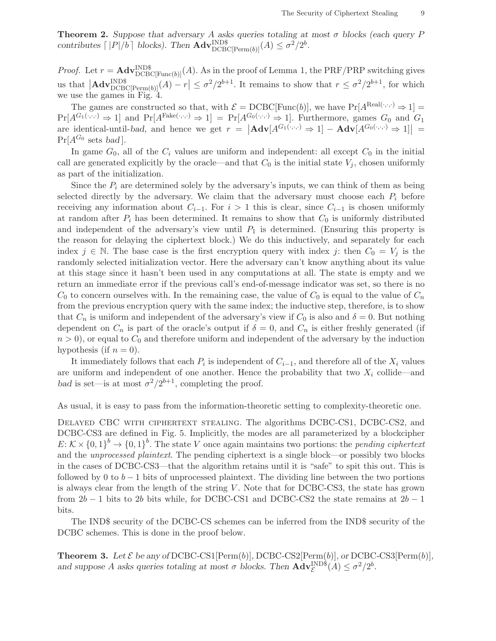**Theorem 2.** Suppose that adversary A asks queries totaling at most  $\sigma$  blocks (each query P contributes  $\lceil |P|/b \rceil$  blocks). Then  $\text{Adv}_{\text{DCBC}[\text{Perm}(b)]}^{\text{IND$}}(A) \leq \sigma^2/2^b$ .

*Proof.* Let  $r = \text{Adv}_{\text{DCBC}[\text{Func}(b)]}^{NDS}(A)$ . As in the proof of Lemma 1, the PRF/PRP switching gives us that  $|\mathbf{Adv}_{\mathrm{DCBC}[\mathrm{Perm}(b)]}^{NDS}(A) - r| \leq \sigma^2/2^{b+1}$ . It remains to show that  $r \leq \sigma^2/2^{b+1}$ , for which we use the games in Fig. 4.

The games are constructed so that, with  $\mathcal{E} = \text{DCBC}[\text{Func}(b)]$ , we have  $\Pr[A^{\text{Real}(\cdot,\cdot,\cdot)} \Rightarrow 1] =$  $Pr[A^{G_1(\cdot,\cdot,\cdot)} \Rightarrow 1]$  and  $Pr[A^{Fake(\cdot,\cdot,\cdot)} \Rightarrow 1] = Pr[A^{G_0(\cdot,\cdot,\cdot)} \Rightarrow 1]$ . Furthermore, games  $G_0$  and  $G_1$ are identical-until-bad, and hence we get  $r = |{\bf Adv}[A^{G_1(\cdot,\cdot,\cdot)} \Rightarrow 1] - {\bf Adv}[A^{G_0(\cdot,\cdot,\cdot)} \Rightarrow 1]| =$  $Pr[A^{G_0} \text{ sets } bad].$ 

In game  $G_0$ , all of the  $C_i$  values are uniform and independent: all except  $C_0$  in the initial call are generated explicitly by the oracle—and that  $C_0$  is the initial state  $V_j$ , chosen uniformly as part of the initialization.

Since the  $P_i$  are determined solely by the adversary's inputs, we can think of them as being selected directly by the adversary. We claim that the adversary must choose each  $P_i$  before receiving any information about  $C_{i-1}$ . For  $i > 1$  this is clear, since  $C_{i-1}$  is chosen uniformly at random after  $P_i$  has been determined. It remains to show that  $C_0$  is uniformly distributed and independent of the adversary's view until  $P_1$  is determined. (Ensuring this property is the reason for delaying the ciphertext block.) We do this inductively, and separately for each index  $j \in \mathbb{N}$ . The base case is the first encryption query with index j: then  $C_0 = V_j$  is the randomly selected initialization vector. Here the adversary can't know anything about its value at this stage since it hasn't been used in any computations at all. The state is empty and we return an immediate error if the previous call's end-of-message indicator was set, so there is no  $C_0$  to concern ourselves with. In the remaining case, the value of  $C_0$  is equal to the value of  $C_n$ from the previous encryption query with the same index; the inductive step, therefore, is to show that  $C_n$  is uniform and independent of the adversary's view if  $C_0$  is also and  $\delta = 0$ . But nothing dependent on  $C_n$  is part of the oracle's output if  $\delta = 0$ , and  $C_n$  is either freshly generated (if  $n > 0$ , or equal to  $C_0$  and therefore uniform and independent of the adversary by the induction hypothesis (if  $n = 0$ ).

It immediately follows that each  $P_i$  is independent of  $C_{i-1}$ , and therefore all of the  $X_i$  values are uniform and independent of one another. Hence the probability that two  $X_i$  collide—and bad is set—is at most  $\sigma^2/2^{b+1}$ , completing the proof.

As usual, it is easy to pass from the information-theoretic setting to complexity-theoretic one.

Delayed CBC with ciphertext stealing. The algorithms DCBC-CS1, DCBC-CS2, and DCBC-CS3 are defined in Fig. 5. Implicitly, the modes are all parameterized by a blockcipher  $E: \mathcal{K} \times \{0,1\}^b \to \{0,1\}^b$ . The state V once again maintains two portions: the *pending ciphertext* and the *unprocessed plaintext*. The pending ciphertext is a single block—or possibly two blocks in the cases of DCBC-CS3—that the algorithm retains until it is "safe" to spit this out. This is followed by 0 to  $b-1$  bits of unprocessed plaintext. The dividing line between the two portions is always clear from the length of the string  $V$ . Note that for DCBC-CS3, the state has grown from  $2b - 1$  bits to 2b bits while, for DCBC-CS1 and DCBC-CS2 the state remains at  $2b - 1$ bits.

The IND\$ security of the DCBC-CS schemes can be inferred from the IND\$ security of the DCBC schemes. This is done in the proof below.

**Theorem 3.** Let  $\mathcal E$  be any of DCBC-CS1[Perm(b)], DCBC-CS2[Perm(b)], or DCBC-CS3[Perm(b)], and suppose A asks queries totaling at most  $\sigma$  blocks. Then  $\mathbf{Adv}_{\mathcal{E}}^{\text{IND\$}}(A) \leq \sigma^2/2^b$ .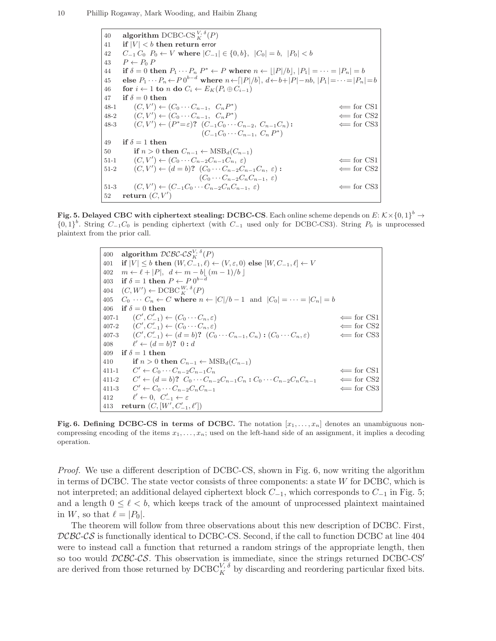40 algorithm DCBC-CS  $_K^{V, \delta}(P)$ 41 if  $|V| < b$  then return error 42 C<sub>−1</sub> C<sub>0</sub> P<sub>0</sub> ← V where  $|C_{-1}| \in \{0, b\}$ ,  $|C_0| = b$ ,  $|P_0| < b$ 43  $P \leftarrow P_0 P$ 44 if  $\delta = 0$  then  $P_1 \cdots P_n$   $P^* \leftarrow P$  where  $n \leftarrow \lfloor |P|/b \rfloor, |P_1| = \cdots = |P_n| = b$ 45 else  $P_1 \cdots P_n \leftarrow P 0^{b-d}$  where  $n \leftarrow [P|/b]$ ,  $d \leftarrow b + |P| - nb$ ,  $|P_1| = \cdots = |P_n| = b$ 46 for  $i \leftarrow 1$  to n do  $C_i \leftarrow E_K(P_i \oplus C_{i-1})$ 47 if  $\delta = 0$  then  $48-1$   $(C, V') \leftarrow (C_0 \cdots C_{n-1}, C_n P^*)$  $\Leftarrow$  for CS1  $48-2$   $(C, V') \leftarrow (C_0 \cdots C_{n-1}, C_n P^*)$  $\Leftarrow$  for CS2 48-3  $(C, V') \leftarrow (P^* = \varepsilon)$ ?  $(C_{-1}C_0 \cdots C_{n-2}, C_{n-1}C_n)$ :  $\qquad \Longleftarrow$  for CS3  $(C_{-1}C_0\cdots C_{n-1}, C_n P^*)$ 49 if  $\delta = 1$  then 50 if  $n > 0$  then  $C_{n-1} \leftarrow \text{MSB}_d(C_{n-1})$ 51-1  $(C, V') \leftarrow (C_0 \cdots C_{n-2} C_{n-1} C_n, \varepsilon)$   $\qquad \Longleftarrow$  for CS1 51-2  $(C, V') \leftarrow (d = b)$ ?  $(C_0 \cdots C_{n-2} C_{n-1} C_n, \varepsilon)$ :  $\qquad \Longleftarrow$  for CS2  $(C_0 \cdots C_{n-2}C_nC_{n-1}, \varepsilon)$ 51-3  $(C, V') \leftarrow (C_{-1}C_0 \cdots C_{n-2}C_nC_{n-1}, \varepsilon)$   $\qquad \Longleftarrow$  for CS3 52 return  $(C, V')$ 

Fig. 5. Delayed CBC with ciphertext stealing: DCBC-CS. Each online scheme depends on E:  $\mathcal{K}\times\{0,1\}^b\to$  ${0,1}^b$ . String  $C_{-1}C_0$  is pending ciphertext (with  $C_{-1}$  used only for DCBC-CS3). String  $P_0$  is unprocessed plaintext from the prior call.

| 400       | algorithm $DCBC-CSKV, \delta(P)$                                                                              |                      |  |
|-----------|---------------------------------------------------------------------------------------------------------------|----------------------|--|
| 401       | if $ V  \leq b$ then $(W, C_{-1}, \ell) \leftarrow (V, \varepsilon, 0)$ else $[W, C_{-1}, \ell] \leftarrow V$ |                      |  |
| 402       | $m \leftarrow \ell +  P , d \leftarrow m - b   (m - 1)/b  $                                                   |                      |  |
| 403       | if $\delta = 1$ then $P \leftarrow P 0^{b-d}$                                                                 |                      |  |
| 404       | $(C, W') \leftarrow \text{DCBC}_{K}^{W, \delta}(P)$                                                           |                      |  |
| 405       | $C_0 \cdots C_n \leftarrow C$ where $n \leftarrow  C /b-1$ and $ C_0  = \cdots =  C_n  = b$                   |                      |  |
| 406       | if $\delta = 0$ then                                                                                          |                      |  |
|           | 407-1 $(C', C'_{-1}) \leftarrow (C_0 \cdots C_n, \varepsilon)$                                                | $\Leftarrow$ for CS1 |  |
|           | 407-2 $(C', C'_{-1}) \leftarrow (C_0 \cdots C_n, \varepsilon)$                                                | $\Leftarrow$ for CS2 |  |
|           | 407-3 $(C', C'_{-1}) \leftarrow (d = b)$ ? $(C_0 \cdots C_{n-1}, C_n) : (C_0 \cdots C_n, \varepsilon)$        | $\Leftarrow$ for CS3 |  |
| 408       | $\ell' \leftarrow (d=b)$ ? 0 : d                                                                              |                      |  |
|           | 409 if $\delta = 1$ then                                                                                      |                      |  |
| 410       | if $n > 0$ then $C_{n-1} \leftarrow \text{MSB}_d(C_{n-1})$                                                    |                      |  |
| $411 - 1$ | $C' \leftarrow C_0 \cdots C_{n-2} C_{n-1} C_n$                                                                | $\Leftarrow$ for CS1 |  |
| $411 - 2$ | $C' \leftarrow (d = b)$ ? $C_0 \cdots C_{n-2} C_{n-1} C_n$ : $C_0 \cdots C_{n-2} C_n C_{n-1}$                 | $\Leftarrow$ for CS2 |  |
|           | 411-3 $C' \leftarrow C_0 \cdots C_{n-2} C_n C_{n-1}$                                                          | $\Leftarrow$ for CS3 |  |
| 412       | $\ell' \leftarrow 0, C'_{-1} \leftarrow \varepsilon$                                                          |                      |  |
| 413       | return $(C, [W', C'_{-1}, \ell'])$                                                                            |                      |  |

Fig. 6. Defining DCBC-CS in terms of DCBC. The notation  $[x_1, \ldots, x_n]$  denotes an unambiguous noncompressing encoding of the items  $x_1, \ldots, x_n$ ; used on the left-hand side of an assignment, it implies a decoding operation.

Proof. We use a different description of DCBC-CS, shown in Fig. 6, now writing the algorithm in terms of DCBC. The state vector consists of three components: a state W for DCBC, which is not interpreted; an additional delayed ciphertext block  $C_{-1}$ , which corresponds to  $C_{-1}$  in Fig. 5; and a length  $0 \leq \ell \leq b$ , which keeps track of the amount of unprocessed plaintext maintained in W, so that  $\ell = |P_0|$ .

The theorem will follow from three observations about this new description of DCBC. First,  $DCBC\text{-}CS$  is functionally identical to DCBC-CS. Second, if the call to function DCBC at line 404 were to instead call a function that returned a random strings of the appropriate length, then so too would  $DCBC-CS$ . This observation is immediate, since the strings returned DCBC-CS' are derived from those returned by  $DCBC_K^{V, \delta}$  by discarding and reordering particular fixed bits.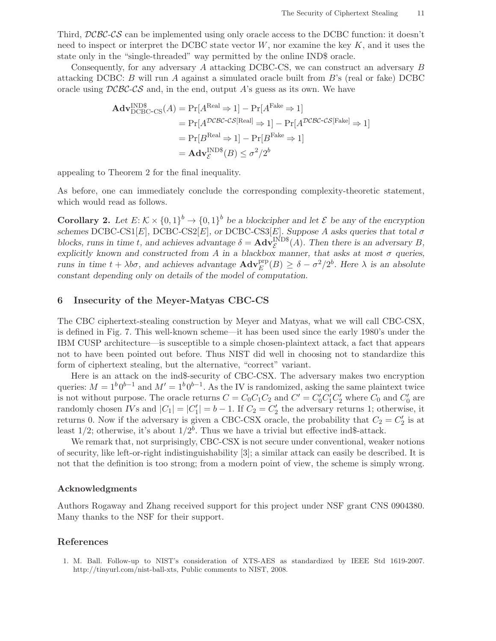Third, DCBC-CS can be implemented using only oracle access to the DCBC function: it doesn't need to inspect or interpret the DCBC state vector  $W$ , nor examine the key  $K$ , and it uses the state only in the "single-threaded" way permitted by the online IND\$ oracle.

Consequently, for any adversary A attacking DCBC-CS, we can construct an adversary B attacking DCBC: B will run A against a simulated oracle built from B's (real or fake) DCBC oracle using  $DCBC-CS$  and, in the end, output A's guess as its own. We have

$$
\mathbf{Adv}_{\mathrm{DCBC-CS}}^{\mathrm{IND\$}}(A) = \Pr[A^{\mathrm{Real}} \Rightarrow 1] - \Pr[A^{\mathrm{Fake}} \Rightarrow 1]
$$
  
= 
$$
\Pr[A^{\mathcal{DCBC-CS}[\mathrm{Real}]} \Rightarrow 1] - \Pr[A^{\mathcal{DCBC-CS}[\mathrm{Fake}]} \Rightarrow 1]
$$
  
= 
$$
\Pr[B^{\mathrm{Real}} \Rightarrow 1] - \Pr[B^{\mathrm{fake}} \Rightarrow 1]
$$
  
= 
$$
\mathbf{Adv}_{\mathcal{E}}^{\mathrm{IND\$}}(B) \le \sigma^2/2^b
$$

appealing to Theorem 2 for the final inequality.

As before, one can immediately conclude the corresponding complexity-theoretic statement, which would read as follows.

**Corollary 2.** Let  $E: K \times \{0,1\}^b \to \{0,1\}^b$  be a blockcipher and let  $\mathcal{E}$  be any of the encryption schemes DCBC-CS1[E], DCBC-CS2[E], or DCBC-CS3[E]. Suppose A asks queries that total  $\sigma$ blocks, runs in time t, and achieves advantage  $\delta = \mathbf{Adv}_{\mathcal{E}}^{\text{IND\$}}(A)$ . Then there is an adversary B, explicitly known and constructed from A in a blackbox manner, that asks at most  $\sigma$  queries, runs in time  $t + \lambda b\sigma$ , and achieves advantage  $\mathbf{Adv}_{E}^{\text{prp}}(B) \geq \delta - \sigma^2/2^b$ . Here  $\lambda$  is an absolute constant depending only on details of the model of computation.

### 6 Insecurity of the Meyer-Matyas CBC-CS

The CBC ciphertext-stealing construction by Meyer and Matyas, what we will call CBC-CSX, is defined in Fig. 7. This well-known scheme—it has been used since the early 1980's under the IBM CUSP architecture—is susceptible to a simple chosen-plaintext attack, a fact that appears not to have been pointed out before. Thus NIST did well in choosing not to standardize this form of ciphertext stealing, but the alternative, "correct" variant.

Here is an attack on the ind\$-security of CBC-CSX. The adversary makes two encryption queries:  $M = 1<sup>b</sup>0<sup>b-1</sup>$  and  $M' = 1<sup>b</sup>0<sup>b-1</sup>$ . As the IV is randomized, asking the same plaintext twice is not without purpose. The oracle returns  $C = C_0 C_1 C_2$  and  $C' = C'_0 C'_1 C'_2$  where  $C_0$  and  $C'_0$  are randomly chosen IVs and  $|C_1| = |C_1'| = b - 1$ . If  $C_2 = C_2'$  the adversary returns 1; otherwise, it returns 0. Now if the adversary is given a CBC-CSX oracle, the probability that  $C_2 = C_2'$  is at least  $1/2$ ; otherwise, it's about  $1/2^b$ . Thus we have a trivial but effective ind\$-attack.

We remark that, not surprisingly, CBC-CSX is not secure under conventional, weaker notions of security, like left-or-right indistinguishability [3]; a similar attack can easily be described. It is not that the definition is too strong; from a modern point of view, the scheme is simply wrong.

#### Acknowledgments

Authors Rogaway and Zhang received support for this project under NSF grant CNS 0904380. Many thanks to the NSF for their support.

#### References

1. M. Ball. Follow-up to NIST's consideration of XTS-AES as standardized by IEEE Std 1619-2007. http://tinyurl.com/nist-ball-xts, Public comments to NIST, 2008.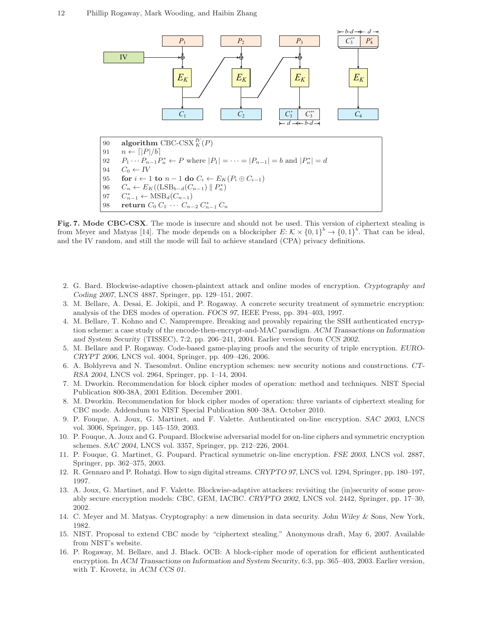

Fig. 7. Mode CBC-CSX. The mode is insecure and should not be used. This version of ciphertext stealing is from Meyer and Matyas [14]. The mode depends on a blockcipher  $E: \mathcal{K} \times \{0,1\}^b \to \{0,1\}^b$ . That can be ideal, and the IV random, and still the mode will fail to achieve standard (CPA) privacy definitions.

- 2. G. Bard. Blockwise-adaptive chosen-plaintext attack and online modes of encryption. *Cryptography and Coding 2007*, LNCS 4887, Springer, pp. 129–151, 2007.
- 3. M. Bellare, A. Desai, E. Jokipii, and P. Rogaway. A concrete security treatment of symmetric encryption: analysis of the DES modes of operation. *FOCS 97*, IEEE Press, pp. 394–403, 1997.
- 4. M. Bellare, T. Kohno and C. Namprempre. Breaking and provably repairing the SSH authenticated encryption scheme: a case study of the encode-then-encrypt-and-MAC paradigm. *ACM Transactions on Information and System Security* (TISSEC), 7:2, pp. 206–241, 2004. Earlier version from *CCS 2002*.
- 5. M. Bellare and P. Rogaway. Code-based game-playing proofs and the security of triple encryption. *EURO-CRYPT 2006*, LNCS vol. 4004, Springer, pp. 409–426, 2006.
- 6. A. Boldyreva and N. Taesombut. Online encryption schemes: new security notions and constructions. *CT-RSA 2004*, LNCS vol. 2964, Springer, pp. 1–14, 2004.
- 7. M. Dworkin. Recommendation for block cipher modes of operation: method and techniques. NIST Special Publication 800-38A, 2001 Edition. December 2001.
- 8. M. Dworkin. Recommendation for block cipher modes of operation: three variants of ciphertext stealing for CBC mode. Addendum to NIST Special Publication 800–38A. October 2010.
- 9. P. Fouque, A. Joux, G. Martinet, and F. Valette. Authenticated on-line encryption. *SAC 2003*, LNCS vol. 3006, Springer, pp. 145–159, 2003.
- 10. P. Fouque, A. Joux and G. Poupard. Blockwise adversarial model for on-line ciphers and symmetric encryption schemes. *SAC 2004*, LNCS vol. 3357, Springer, pp. 212–226, 2004.
- 11. P. Fouque, G. Martinet, G. Poupard. Practical symmetric on-line encryption. *FSE 2003*, LNCS vol. 2887, Springer, pp. 362–375, 2003.
- 12. R. Gennaro and P. Rohatgi. How to sign digital streams. *CRYPTO 97*, LNCS vol. 1294, Springer, pp. 180–197, 1997.
- 13. A. Joux, G. Martinet, and F. Valette. Blockwise-adaptive attackers: revisiting the (in)security of some provably secure encryption models: CBC, GEM, IACBC. *CRYPTO 2002*, LNCS vol. 2442, Springer, pp. 17–30, 2002.
- 14. C. Meyer and M. Matyas. Cryptography: a new dimension in data security. *John Wiley & Sons*, New York, 1982.
- 15. NIST. Proposal to extend CBC mode by "ciphertext stealing." Anonymous draft, May 6, 2007. Available from NIST's website.
- 16. P. Rogaway, M. Bellare, and J. Black. OCB: A block-cipher mode of operation for efficient authenticated encryption. In *ACM Transactions on Information and System Security*, 6:3, pp. 365–403, 2003. Earlier version, with T. Krovetz, in *ACM CCS 01*.